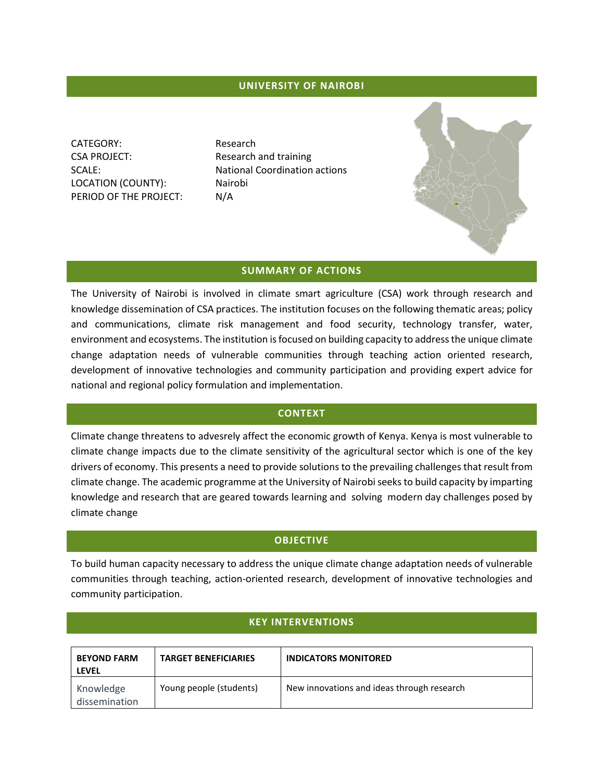## **UNIVERSITY OF NAIROBI**

CATEGORY: Research CSA PROJECT: Research and training LOCATION (COUNTY): Nairobi PERIOD OF THE PROJECT: N/A

SCALE: National Coordination actions

## **SUMMARY OF ACTIONS**

The University of Nairobi is involved in climate smart agriculture (CSA) work through research and knowledge dissemination of CSA practices. The institution focuses on the following thematic areas; policy and communications, climate risk management and food security, technology transfer, water, environment and ecosystems. The institution is focused on building capacity to address the unique climate change adaptation needs of vulnerable communities through teaching action oriented research, development of innovative technologies and community participation and providing expert advice for national and regional policy formulation and implementation.

# **CONTEXT**

Climate change threatens to advesrely affect the economic growth of Kenya. Kenya is most vulnerable to climate change impacts due to the climate sensitivity of the agricultural sector which is one of the key drivers of economy. This presents a need to provide solutions to the prevailing challenges that result from climate change. The academic programme at the University of Nairobi seeks to build capacity by imparting knowledge and research that are geared towards learning and solving modern day challenges posed by climate change

### **OBJECTIVE**

To build human capacity necessary to address the unique climate change adaptation needs of vulnerable communities through teaching, action-oriented research, development of innovative technologies and community participation.

### **KEY INTERVENTIONS**

| <b>BEYOND FARM</b><br><b>LEVEL</b> | <b>TARGET BENEFICIARIES</b> | <b>INDICATORS MONITORED</b>                |
|------------------------------------|-----------------------------|--------------------------------------------|
| Knowledge<br>dissemination         | Young people (students)     | New innovations and ideas through research |